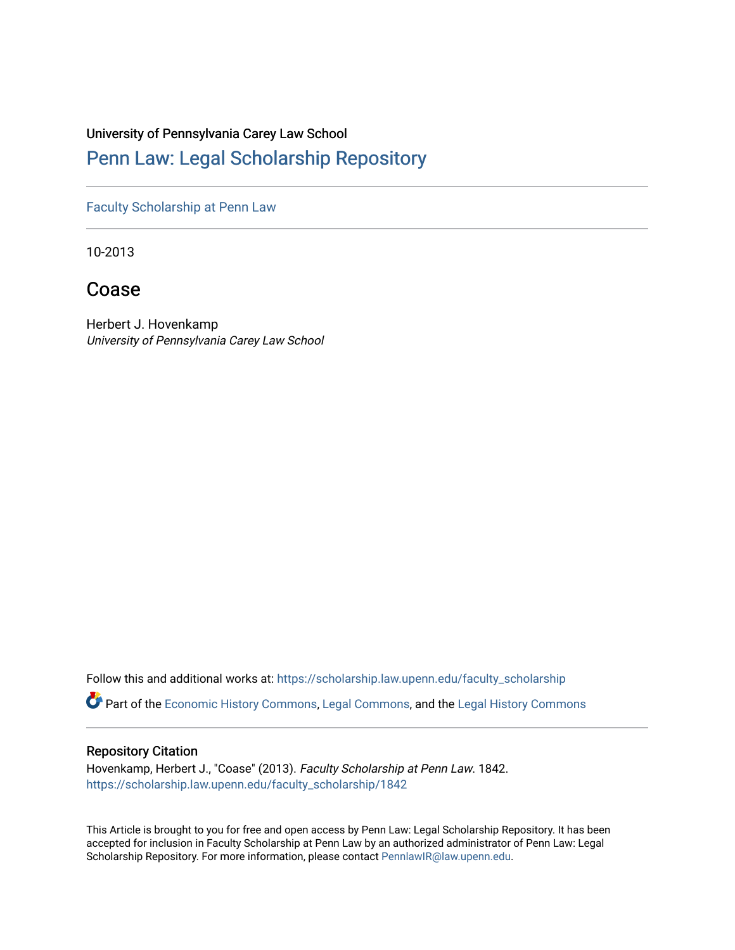# University of Pennsylvania Carey Law School

# [Penn Law: Legal Scholarship Repository](https://scholarship.law.upenn.edu/)

[Faculty Scholarship at Penn Law](https://scholarship.law.upenn.edu/faculty_scholarship)

10-2013

# Coase

Herbert J. Hovenkamp University of Pennsylvania Carey Law School

Follow this and additional works at: [https://scholarship.law.upenn.edu/faculty\\_scholarship](https://scholarship.law.upenn.edu/faculty_scholarship?utm_source=scholarship.law.upenn.edu%2Ffaculty_scholarship%2F1842&utm_medium=PDF&utm_campaign=PDFCoverPages) 

Part of the [Economic History Commons](http://network.bepress.com/hgg/discipline/343?utm_source=scholarship.law.upenn.edu%2Ffaculty_scholarship%2F1842&utm_medium=PDF&utm_campaign=PDFCoverPages), [Legal Commons](http://network.bepress.com/hgg/discipline/502?utm_source=scholarship.law.upenn.edu%2Ffaculty_scholarship%2F1842&utm_medium=PDF&utm_campaign=PDFCoverPages), and the [Legal History Commons](http://network.bepress.com/hgg/discipline/904?utm_source=scholarship.law.upenn.edu%2Ffaculty_scholarship%2F1842&utm_medium=PDF&utm_campaign=PDFCoverPages) 

## Repository Citation

Hovenkamp, Herbert J., "Coase" (2013). Faculty Scholarship at Penn Law. 1842. [https://scholarship.law.upenn.edu/faculty\\_scholarship/1842](https://scholarship.law.upenn.edu/faculty_scholarship/1842?utm_source=scholarship.law.upenn.edu%2Ffaculty_scholarship%2F1842&utm_medium=PDF&utm_campaign=PDFCoverPages)

This Article is brought to you for free and open access by Penn Law: Legal Scholarship Repository. It has been accepted for inclusion in Faculty Scholarship at Penn Law by an authorized administrator of Penn Law: Legal Scholarship Repository. For more information, please contact [PennlawIR@law.upenn.edu.](mailto:PennlawIR@law.upenn.edu)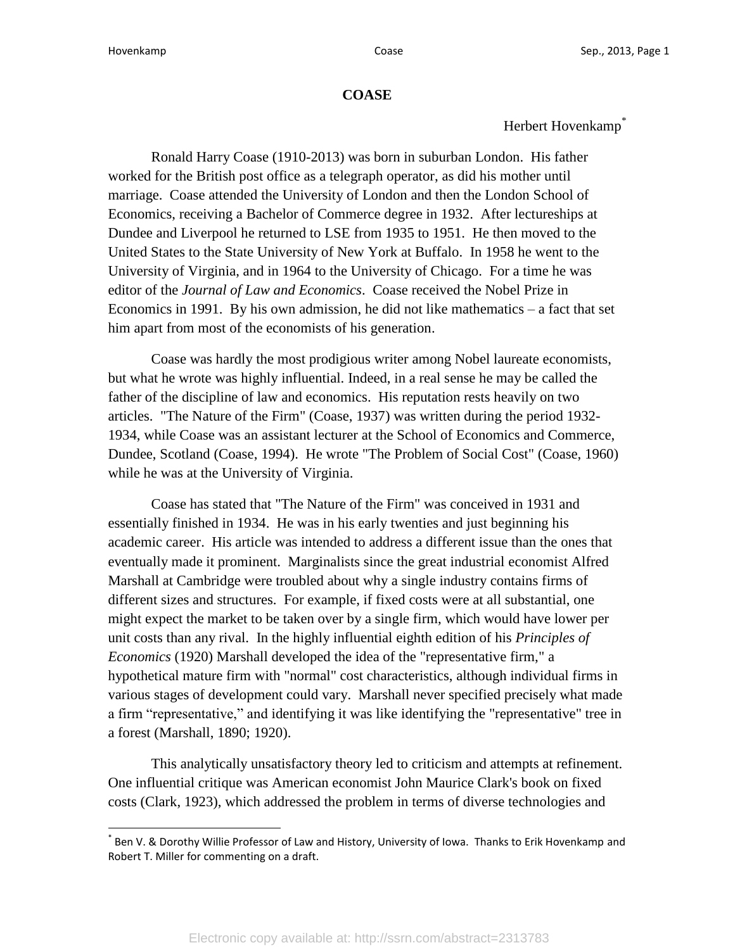l

#### **COASE**

### Herbert Hovenkamp<sup>\*</sup>

Ronald Harry Coase (1910-2013) was born in suburban London. His father worked for the British post office as a telegraph operator, as did his mother until marriage. Coase attended the University of London and then the London School of Economics, receiving a Bachelor of Commerce degree in 1932. After lectureships at Dundee and Liverpool he returned to LSE from 1935 to 1951. He then moved to the United States to the State University of New York at Buffalo. In 1958 he went to the University of Virginia, and in 1964 to the University of Chicago. For a time he was editor of the *Journal of Law and Economics*. Coase received the Nobel Prize in Economics in 1991. By his own admission, he did not like mathematics – a fact that set him apart from most of the economists of his generation.

Coase was hardly the most prodigious writer among Nobel laureate economists, but what he wrote was highly influential. Indeed, in a real sense he may be called the father of the discipline of law and economics. His reputation rests heavily on two articles. "The Nature of the Firm" (Coase, 1937) was written during the period 1932- 1934, while Coase was an assistant lecturer at the School of Economics and Commerce, Dundee, Scotland (Coase, 1994). He wrote "The Problem of Social Cost" (Coase, 1960) while he was at the University of Virginia.

Coase has stated that "The Nature of the Firm" was conceived in 1931 and essentially finished in 1934. He was in his early twenties and just beginning his academic career. His article was intended to address a different issue than the ones that eventually made it prominent. Marginalists since the great industrial economist Alfred Marshall at Cambridge were troubled about why a single industry contains firms of different sizes and structures. For example, if fixed costs were at all substantial, one might expect the market to be taken over by a single firm, which would have lower per unit costs than any rival. In the highly influential eighth edition of his *Principles of Economics* (1920) Marshall developed the idea of the "representative firm," a hypothetical mature firm with "normal" cost characteristics, although individual firms in various stages of development could vary. Marshall never specified precisely what made a firm "representative," and identifying it was like identifying the "representative" tree in a forest (Marshall, 1890; 1920).

This analytically unsatisfactory theory led to criticism and attempts at refinement. One influential critique was American economist John Maurice Clark's book on fixed costs (Clark, 1923), which addressed the problem in terms of diverse technologies and

<sup>\*</sup> Ben V. & Dorothy Willie Professor of Law and History, University of Iowa. Thanks to Erik Hovenkamp and Robert T. Miller for commenting on a draft.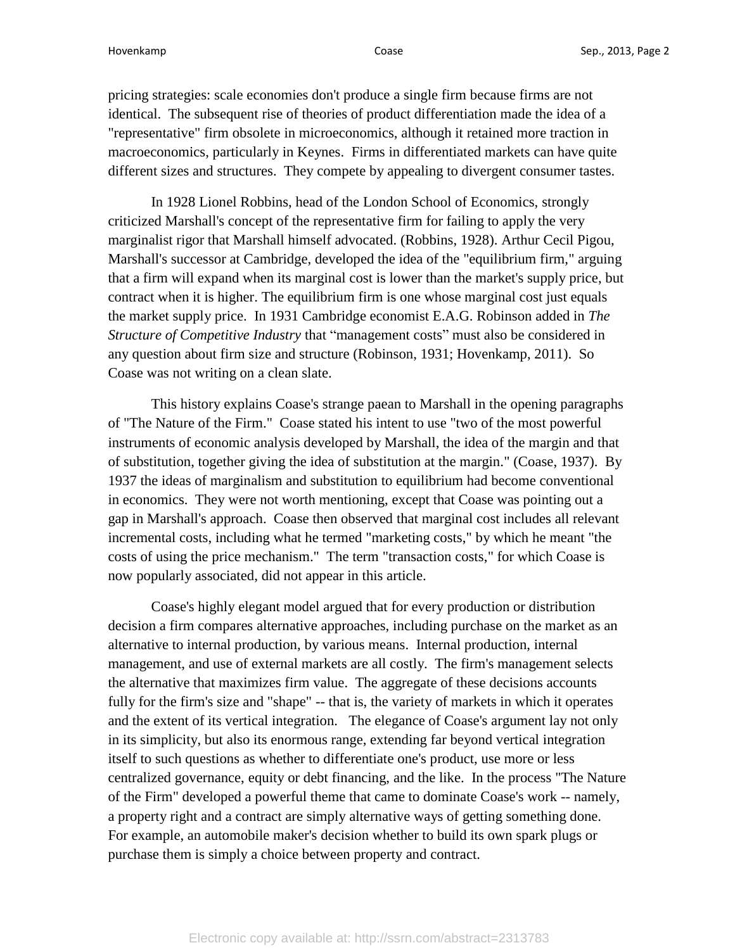pricing strategies: scale economies don't produce a single firm because firms are not identical. The subsequent rise of theories of product differentiation made the idea of a "representative" firm obsolete in microeconomics, although it retained more traction in macroeconomics, particularly in Keynes. Firms in differentiated markets can have quite different sizes and structures. They compete by appealing to divergent consumer tastes.

In 1928 Lionel Robbins, head of the London School of Economics, strongly criticized Marshall's concept of the representative firm for failing to apply the very marginalist rigor that Marshall himself advocated. (Robbins, 1928). Arthur Cecil Pigou, Marshall's successor at Cambridge, developed the idea of the "equilibrium firm," arguing that a firm will expand when its marginal cost is lower than the market's supply price, but contract when it is higher. The equilibrium firm is one whose marginal cost just equals the market supply price. In 1931 Cambridge economist E.A.G. Robinson added in *The Structure of Competitive Industry* that "management costs" must also be considered in any question about firm size and structure (Robinson, 1931; Hovenkamp, 2011). So Coase was not writing on a clean slate.

This history explains Coase's strange paean to Marshall in the opening paragraphs of "The Nature of the Firm." Coase stated his intent to use "two of the most powerful instruments of economic analysis developed by Marshall, the idea of the margin and that of substitution, together giving the idea of substitution at the margin." (Coase, 1937). By 1937 the ideas of marginalism and substitution to equilibrium had become conventional in economics. They were not worth mentioning, except that Coase was pointing out a gap in Marshall's approach. Coase then observed that marginal cost includes all relevant incremental costs, including what he termed "marketing costs," by which he meant "the costs of using the price mechanism." The term "transaction costs," for which Coase is now popularly associated, did not appear in this article.

Coase's highly elegant model argued that for every production or distribution decision a firm compares alternative approaches, including purchase on the market as an alternative to internal production, by various means. Internal production, internal management, and use of external markets are all costly. The firm's management selects the alternative that maximizes firm value. The aggregate of these decisions accounts fully for the firm's size and "shape" -- that is, the variety of markets in which it operates and the extent of its vertical integration. The elegance of Coase's argument lay not only in its simplicity, but also its enormous range, extending far beyond vertical integration itself to such questions as whether to differentiate one's product, use more or less centralized governance, equity or debt financing, and the like. In the process "The Nature of the Firm" developed a powerful theme that came to dominate Coase's work -- namely, a property right and a contract are simply alternative ways of getting something done. For example, an automobile maker's decision whether to build its own spark plugs or purchase them is simply a choice between property and contract.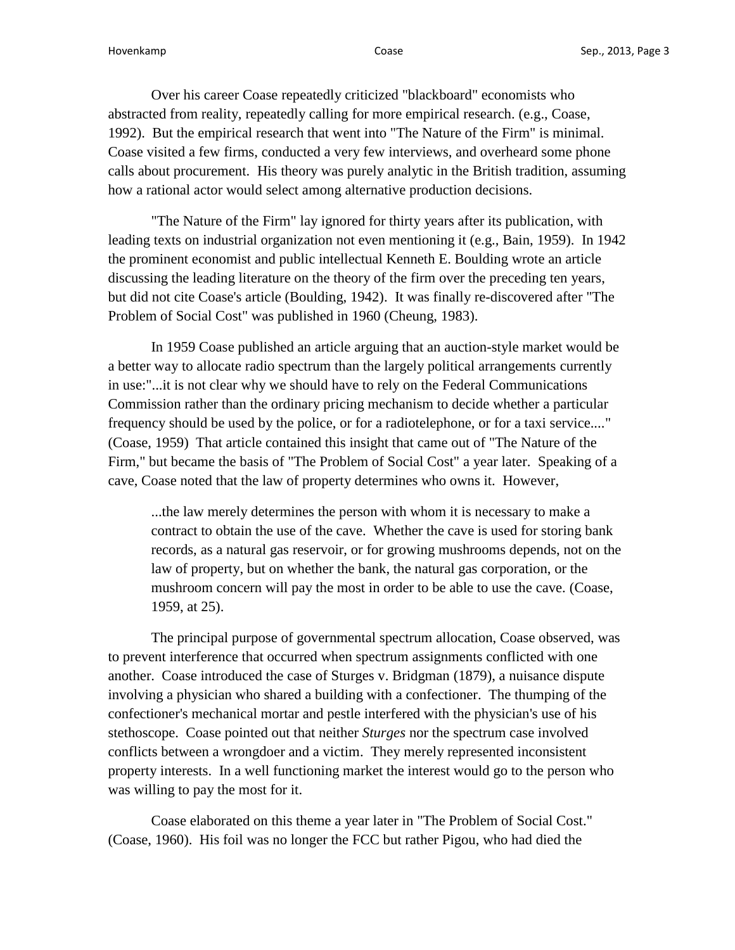Over his career Coase repeatedly criticized "blackboard" economists who abstracted from reality, repeatedly calling for more empirical research. (e.g., Coase, 1992). But the empirical research that went into "The Nature of the Firm" is minimal. Coase visited a few firms, conducted a very few interviews, and overheard some phone calls about procurement. His theory was purely analytic in the British tradition, assuming how a rational actor would select among alternative production decisions.

"The Nature of the Firm" lay ignored for thirty years after its publication, with leading texts on industrial organization not even mentioning it (e.g., Bain, 1959). In 1942 the prominent economist and public intellectual Kenneth E. Boulding wrote an article discussing the leading literature on the theory of the firm over the preceding ten years, but did not cite Coase's article (Boulding, 1942). It was finally re-discovered after "The Problem of Social Cost" was published in 1960 (Cheung, 1983).

In 1959 Coase published an article arguing that an auction-style market would be a better way to allocate radio spectrum than the largely political arrangements currently in use:"...it is not clear why we should have to rely on the Federal Communications Commission rather than the ordinary pricing mechanism to decide whether a particular frequency should be used by the police, or for a radiotelephone, or for a taxi service...." (Coase, 1959) That article contained this insight that came out of "The Nature of the Firm," but became the basis of "The Problem of Social Cost" a year later. Speaking of a cave, Coase noted that the law of property determines who owns it. However,

...the law merely determines the person with whom it is necessary to make a contract to obtain the use of the cave. Whether the cave is used for storing bank records, as a natural gas reservoir, or for growing mushrooms depends, not on the law of property, but on whether the bank, the natural gas corporation, or the mushroom concern will pay the most in order to be able to use the cave. (Coase, 1959, at 25).

The principal purpose of governmental spectrum allocation, Coase observed, was to prevent interference that occurred when spectrum assignments conflicted with one another. Coase introduced the case of Sturges v. Bridgman (1879), a nuisance dispute involving a physician who shared a building with a confectioner. The thumping of the confectioner's mechanical mortar and pestle interfered with the physician's use of his stethoscope. Coase pointed out that neither *Sturges* nor the spectrum case involved conflicts between a wrongdoer and a victim. They merely represented inconsistent property interests. In a well functioning market the interest would go to the person who was willing to pay the most for it.

Coase elaborated on this theme a year later in "The Problem of Social Cost." (Coase, 1960). His foil was no longer the FCC but rather Pigou, who had died the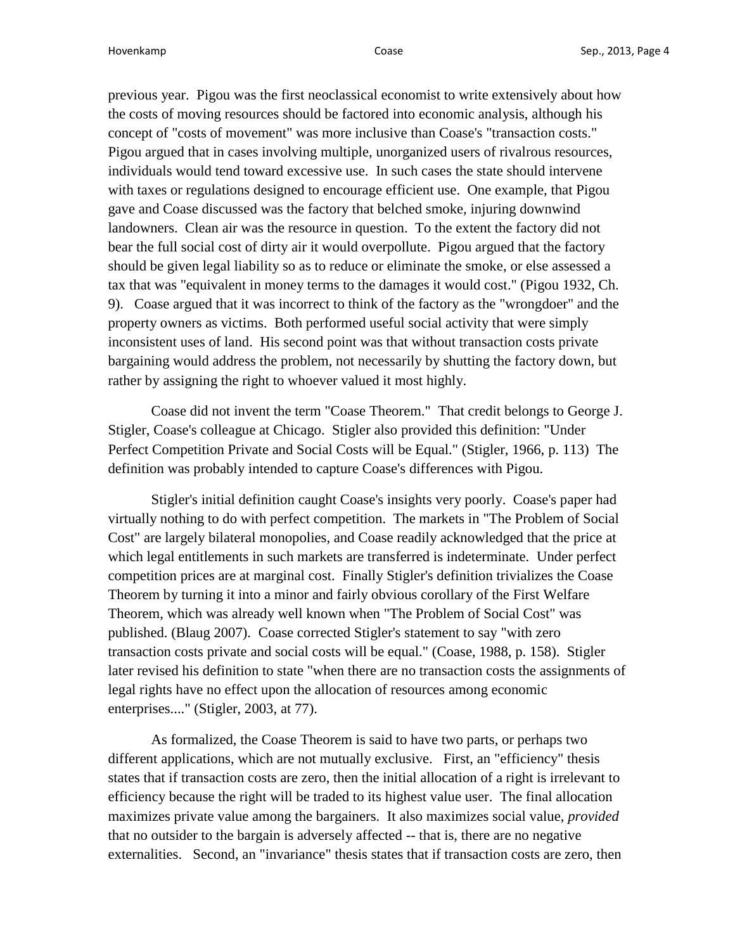previous year. Pigou was the first neoclassical economist to write extensively about how the costs of moving resources should be factored into economic analysis, although his concept of "costs of movement" was more inclusive than Coase's "transaction costs." Pigou argued that in cases involving multiple, unorganized users of rivalrous resources, individuals would tend toward excessive use. In such cases the state should intervene with taxes or regulations designed to encourage efficient use. One example, that Pigou gave and Coase discussed was the factory that belched smoke, injuring downwind landowners. Clean air was the resource in question. To the extent the factory did not bear the full social cost of dirty air it would overpollute. Pigou argued that the factory should be given legal liability so as to reduce or eliminate the smoke, or else assessed a tax that was "equivalent in money terms to the damages it would cost." (Pigou 1932, Ch. 9). Coase argued that it was incorrect to think of the factory as the "wrongdoer" and the property owners as victims. Both performed useful social activity that were simply inconsistent uses of land. His second point was that without transaction costs private bargaining would address the problem, not necessarily by shutting the factory down, but rather by assigning the right to whoever valued it most highly.

Coase did not invent the term "Coase Theorem." That credit belongs to George J. Stigler, Coase's colleague at Chicago. Stigler also provided this definition: "Under Perfect Competition Private and Social Costs will be Equal." (Stigler, 1966, p. 113) The definition was probably intended to capture Coase's differences with Pigou.

Stigler's initial definition caught Coase's insights very poorly. Coase's paper had virtually nothing to do with perfect competition. The markets in "The Problem of Social Cost" are largely bilateral monopolies, and Coase readily acknowledged that the price at which legal entitlements in such markets are transferred is indeterminate. Under perfect competition prices are at marginal cost. Finally Stigler's definition trivializes the Coase Theorem by turning it into a minor and fairly obvious corollary of the First Welfare Theorem, which was already well known when "The Problem of Social Cost" was published. (Blaug 2007). Coase corrected Stigler's statement to say "with zero transaction costs private and social costs will be equal." (Coase, 1988, p. 158). Stigler later revised his definition to state "when there are no transaction costs the assignments of legal rights have no effect upon the allocation of resources among economic enterprises...." (Stigler, 2003, at 77).

As formalized, the Coase Theorem is said to have two parts, or perhaps two different applications, which are not mutually exclusive. First, an "efficiency" thesis states that if transaction costs are zero, then the initial allocation of a right is irrelevant to efficiency because the right will be traded to its highest value user. The final allocation maximizes private value among the bargainers. It also maximizes social value, *provided* that no outsider to the bargain is adversely affected -- that is, there are no negative externalities. Second, an "invariance" thesis states that if transaction costs are zero, then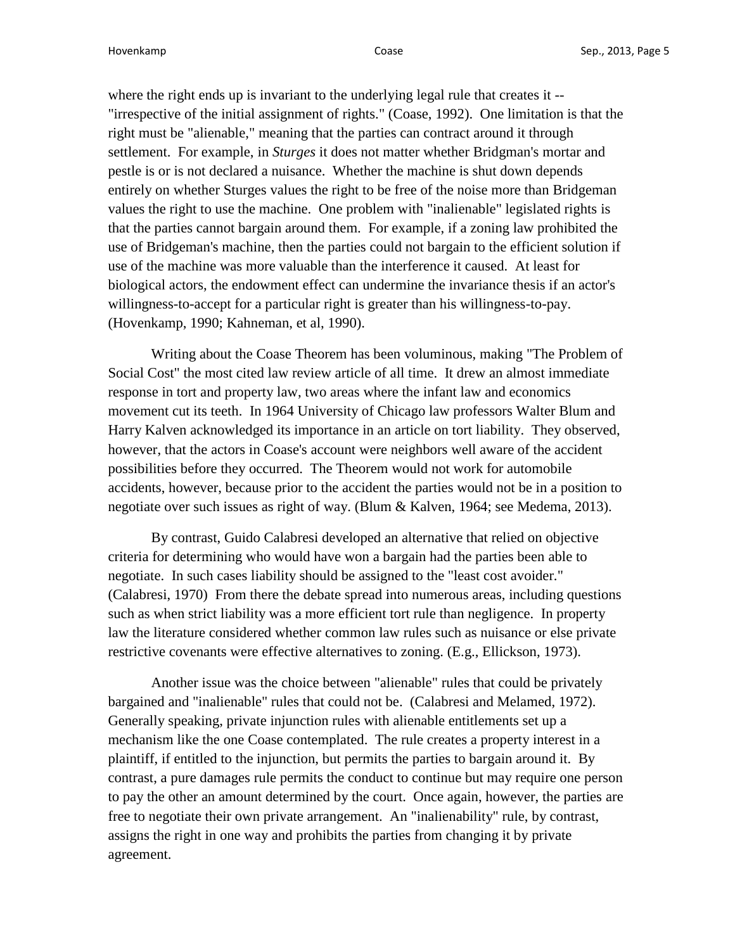where the right ends up is invariant to the underlying legal rule that creates it --"irrespective of the initial assignment of rights." (Coase, 1992). One limitation is that the right must be "alienable," meaning that the parties can contract around it through settlement. For example, in *Sturges* it does not matter whether Bridgman's mortar and pestle is or is not declared a nuisance. Whether the machine is shut down depends entirely on whether Sturges values the right to be free of the noise more than Bridgeman values the right to use the machine. One problem with "inalienable" legislated rights is that the parties cannot bargain around them. For example, if a zoning law prohibited the use of Bridgeman's machine, then the parties could not bargain to the efficient solution if use of the machine was more valuable than the interference it caused. At least for biological actors, the endowment effect can undermine the invariance thesis if an actor's willingness-to-accept for a particular right is greater than his willingness-to-pay. (Hovenkamp, 1990; Kahneman, et al, 1990).

Writing about the Coase Theorem has been voluminous, making "The Problem of Social Cost" the most cited law review article of all time. It drew an almost immediate response in tort and property law, two areas where the infant law and economics movement cut its teeth. In 1964 University of Chicago law professors Walter Blum and Harry Kalven acknowledged its importance in an article on tort liability. They observed, however, that the actors in Coase's account were neighbors well aware of the accident possibilities before they occurred. The Theorem would not work for automobile accidents, however, because prior to the accident the parties would not be in a position to negotiate over such issues as right of way. (Blum & Kalven, 1964; see Medema, 2013).

By contrast, Guido Calabresi developed an alternative that relied on objective criteria for determining who would have won a bargain had the parties been able to negotiate. In such cases liability should be assigned to the "least cost avoider." (Calabresi, 1970) From there the debate spread into numerous areas, including questions such as when strict liability was a more efficient tort rule than negligence. In property law the literature considered whether common law rules such as nuisance or else private restrictive covenants were effective alternatives to zoning. (E.g., Ellickson, 1973).

Another issue was the choice between "alienable" rules that could be privately bargained and "inalienable" rules that could not be. (Calabresi and Melamed, 1972). Generally speaking, private injunction rules with alienable entitlements set up a mechanism like the one Coase contemplated. The rule creates a property interest in a plaintiff, if entitled to the injunction, but permits the parties to bargain around it. By contrast, a pure damages rule permits the conduct to continue but may require one person to pay the other an amount determined by the court. Once again, however, the parties are free to negotiate their own private arrangement. An "inalienability" rule, by contrast, assigns the right in one way and prohibits the parties from changing it by private agreement.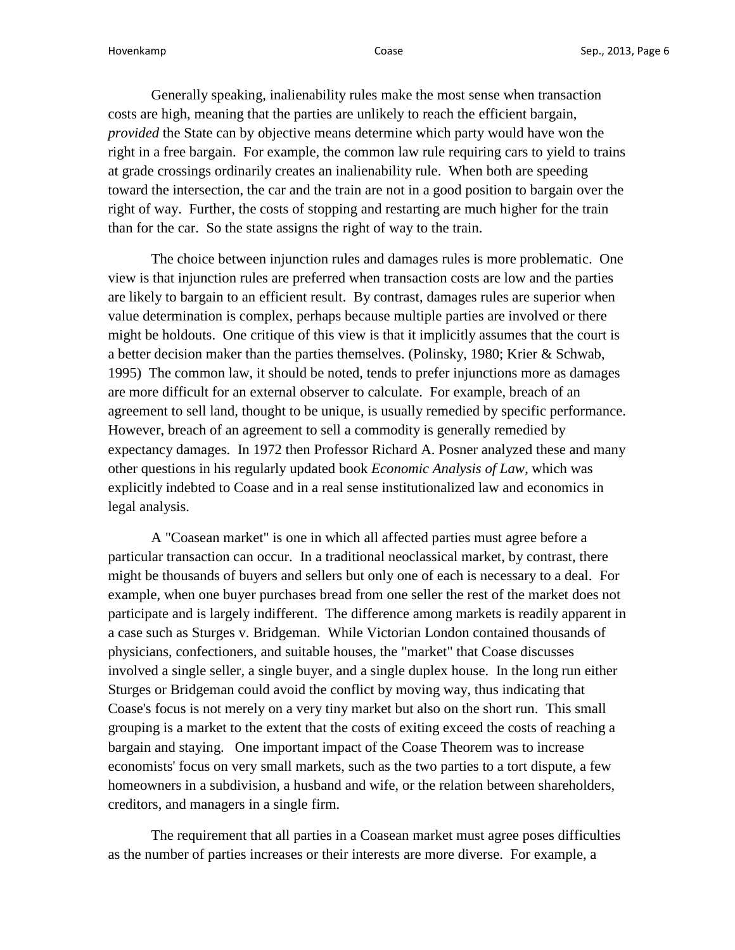Generally speaking, inalienability rules make the most sense when transaction costs are high, meaning that the parties are unlikely to reach the efficient bargain, *provided* the State can by objective means determine which party would have won the right in a free bargain. For example, the common law rule requiring cars to yield to trains at grade crossings ordinarily creates an inalienability rule. When both are speeding toward the intersection, the car and the train are not in a good position to bargain over the right of way. Further, the costs of stopping and restarting are much higher for the train than for the car. So the state assigns the right of way to the train.

The choice between injunction rules and damages rules is more problematic. One view is that injunction rules are preferred when transaction costs are low and the parties are likely to bargain to an efficient result. By contrast, damages rules are superior when value determination is complex, perhaps because multiple parties are involved or there might be holdouts. One critique of this view is that it implicitly assumes that the court is a better decision maker than the parties themselves. (Polinsky, 1980; Krier & Schwab, 1995) The common law, it should be noted, tends to prefer injunctions more as damages are more difficult for an external observer to calculate. For example, breach of an agreement to sell land, thought to be unique, is usually remedied by specific performance. However, breach of an agreement to sell a commodity is generally remedied by expectancy damages. In 1972 then Professor Richard A. Posner analyzed these and many other questions in his regularly updated book *Economic Analysis of Law*, which was explicitly indebted to Coase and in a real sense institutionalized law and economics in legal analysis.

A "Coasean market" is one in which all affected parties must agree before a particular transaction can occur. In a traditional neoclassical market, by contrast, there might be thousands of buyers and sellers but only one of each is necessary to a deal. For example, when one buyer purchases bread from one seller the rest of the market does not participate and is largely indifferent. The difference among markets is readily apparent in a case such as Sturges v. Bridgeman. While Victorian London contained thousands of physicians, confectioners, and suitable houses, the "market" that Coase discusses involved a single seller, a single buyer, and a single duplex house. In the long run either Sturges or Bridgeman could avoid the conflict by moving way, thus indicating that Coase's focus is not merely on a very tiny market but also on the short run. This small grouping is a market to the extent that the costs of exiting exceed the costs of reaching a bargain and staying. One important impact of the Coase Theorem was to increase economists' focus on very small markets, such as the two parties to a tort dispute, a few homeowners in a subdivision, a husband and wife, or the relation between shareholders, creditors, and managers in a single firm.

The requirement that all parties in a Coasean market must agree poses difficulties as the number of parties increases or their interests are more diverse. For example, a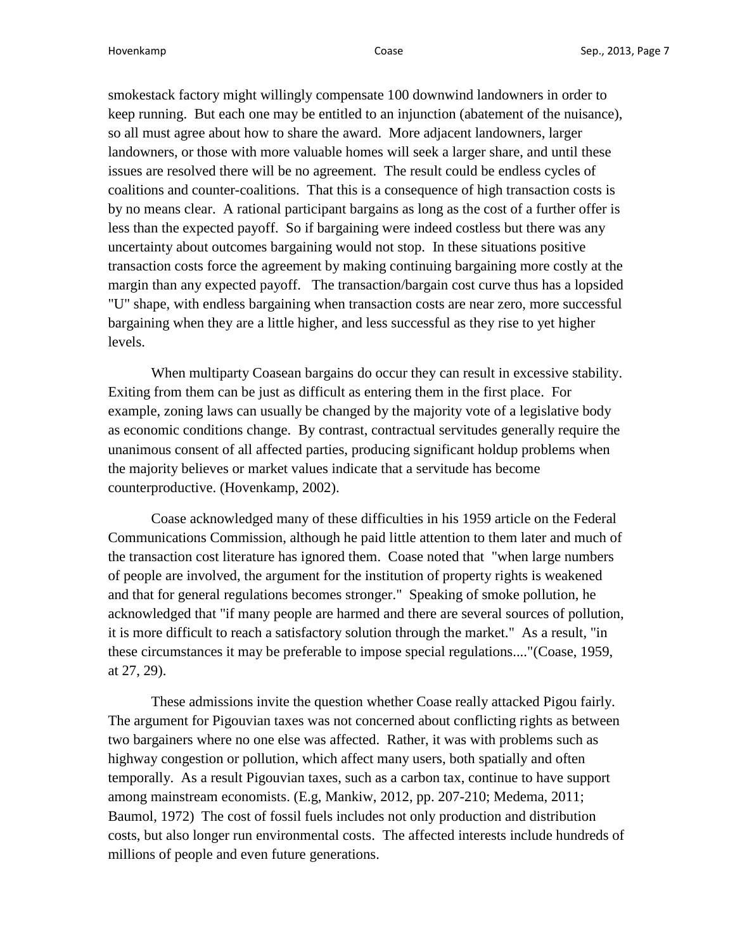smokestack factory might willingly compensate 100 downwind landowners in order to keep running. But each one may be entitled to an injunction (abatement of the nuisance), so all must agree about how to share the award. More adjacent landowners, larger landowners, or those with more valuable homes will seek a larger share, and until these issues are resolved there will be no agreement. The result could be endless cycles of coalitions and counter-coalitions. That this is a consequence of high transaction costs is by no means clear. A rational participant bargains as long as the cost of a further offer is less than the expected payoff. So if bargaining were indeed costless but there was any uncertainty about outcomes bargaining would not stop. In these situations positive transaction costs force the agreement by making continuing bargaining more costly at the margin than any expected payoff. The transaction/bargain cost curve thus has a lopsided "U" shape, with endless bargaining when transaction costs are near zero, more successful bargaining when they are a little higher, and less successful as they rise to yet higher levels.

When multiparty Coasean bargains do occur they can result in excessive stability. Exiting from them can be just as difficult as entering them in the first place. For example, zoning laws can usually be changed by the majority vote of a legislative body as economic conditions change. By contrast, contractual servitudes generally require the unanimous consent of all affected parties, producing significant holdup problems when the majority believes or market values indicate that a servitude has become counterproductive. (Hovenkamp, 2002).

Coase acknowledged many of these difficulties in his 1959 article on the Federal Communications Commission, although he paid little attention to them later and much of the transaction cost literature has ignored them. Coase noted that "when large numbers of people are involved, the argument for the institution of property rights is weakened and that for general regulations becomes stronger." Speaking of smoke pollution, he acknowledged that "if many people are harmed and there are several sources of pollution, it is more difficult to reach a satisfactory solution through the market." As a result, "in these circumstances it may be preferable to impose special regulations...."(Coase, 1959, at 27, 29).

These admissions invite the question whether Coase really attacked Pigou fairly. The argument for Pigouvian taxes was not concerned about conflicting rights as between two bargainers where no one else was affected. Rather, it was with problems such as highway congestion or pollution, which affect many users, both spatially and often temporally. As a result Pigouvian taxes, such as a carbon tax, continue to have support among mainstream economists. (E.g, Mankiw, 2012, pp. 207-210; Medema, 2011; Baumol, 1972) The cost of fossil fuels includes not only production and distribution costs, but also longer run environmental costs. The affected interests include hundreds of millions of people and even future generations.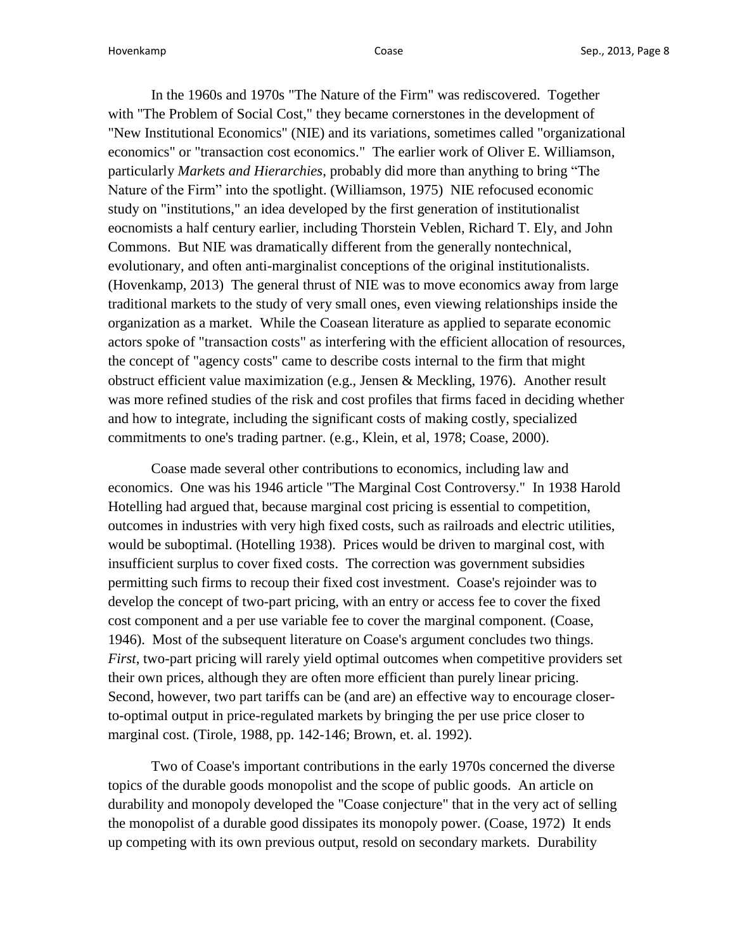In the 1960s and 1970s "The Nature of the Firm" was rediscovered. Together with "The Problem of Social Cost," they became cornerstones in the development of "New Institutional Economics" (NIE) and its variations, sometimes called "organizational economics" or "transaction cost economics." The earlier work of Oliver E. Williamson, particularly *Markets and Hierarchies*, probably did more than anything to bring "The Nature of the Firm" into the spotlight. (Williamson, 1975) NIE refocused economic study on "institutions," an idea developed by the first generation of institutionalist eocnomists a half century earlier, including Thorstein Veblen, Richard T. Ely, and John Commons. But NIE was dramatically different from the generally nontechnical, evolutionary, and often anti-marginalist conceptions of the original institutionalists. (Hovenkamp, 2013) The general thrust of NIE was to move economics away from large traditional markets to the study of very small ones, even viewing relationships inside the organization as a market. While the Coasean literature as applied to separate economic actors spoke of "transaction costs" as interfering with the efficient allocation of resources, the concept of "agency costs" came to describe costs internal to the firm that might obstruct efficient value maximization (e.g., Jensen & Meckling, 1976). Another result was more refined studies of the risk and cost profiles that firms faced in deciding whether and how to integrate, including the significant costs of making costly, specialized commitments to one's trading partner. (e.g., Klein, et al, 1978; Coase, 2000).

Coase made several other contributions to economics, including law and economics. One was his 1946 article "The Marginal Cost Controversy." In 1938 Harold Hotelling had argued that, because marginal cost pricing is essential to competition, outcomes in industries with very high fixed costs, such as railroads and electric utilities, would be suboptimal. (Hotelling 1938). Prices would be driven to marginal cost, with insufficient surplus to cover fixed costs. The correction was government subsidies permitting such firms to recoup their fixed cost investment. Coase's rejoinder was to develop the concept of two-part pricing, with an entry or access fee to cover the fixed cost component and a per use variable fee to cover the marginal component. (Coase, 1946). Most of the subsequent literature on Coase's argument concludes two things. *First*, two-part pricing will rarely yield optimal outcomes when competitive providers set their own prices, although they are often more efficient than purely linear pricing. Second, however, two part tariffs can be (and are) an effective way to encourage closerto-optimal output in price-regulated markets by bringing the per use price closer to marginal cost. (Tirole, 1988, pp. 142-146; Brown, et. al. 1992).

Two of Coase's important contributions in the early 1970s concerned the diverse topics of the durable goods monopolist and the scope of public goods. An article on durability and monopoly developed the "Coase conjecture" that in the very act of selling the monopolist of a durable good dissipates its monopoly power. (Coase, 1972) It ends up competing with its own previous output, resold on secondary markets. Durability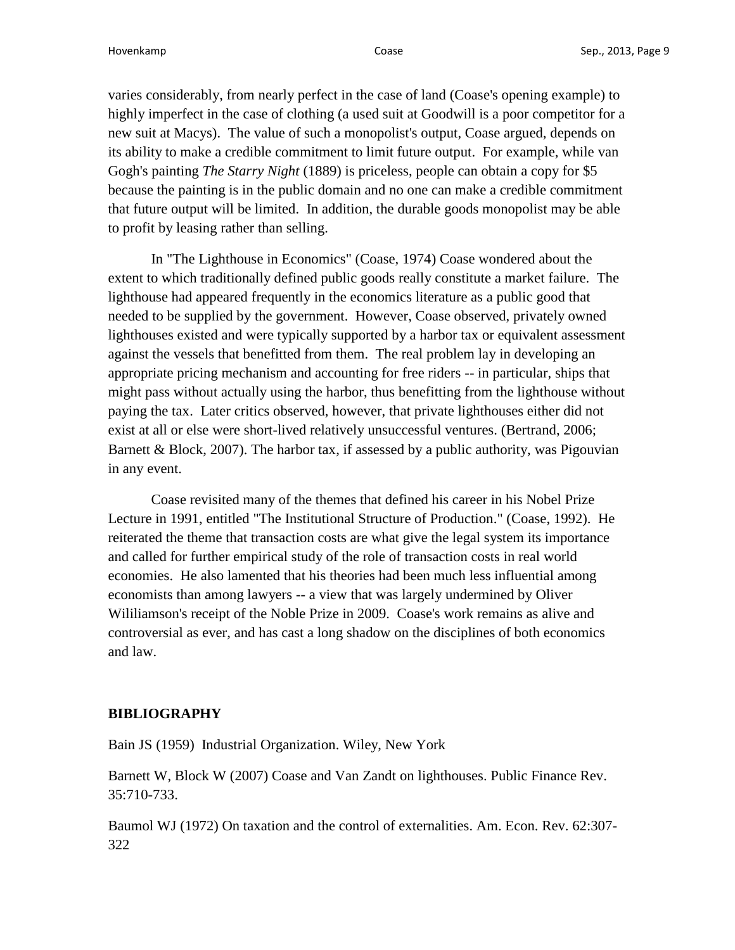varies considerably, from nearly perfect in the case of land (Coase's opening example) to highly imperfect in the case of clothing (a used suit at Goodwill is a poor competitor for a new suit at Macys). The value of such a monopolist's output, Coase argued, depends on its ability to make a credible commitment to limit future output. For example, while van Gogh's painting *The Starry Night* (1889) is priceless, people can obtain a copy for \$5 because the painting is in the public domain and no one can make a credible commitment that future output will be limited. In addition, the durable goods monopolist may be able to profit by leasing rather than selling.

In "The Lighthouse in Economics" (Coase, 1974) Coase wondered about the extent to which traditionally defined public goods really constitute a market failure. The lighthouse had appeared frequently in the economics literature as a public good that needed to be supplied by the government. However, Coase observed, privately owned lighthouses existed and were typically supported by a harbor tax or equivalent assessment against the vessels that benefitted from them. The real problem lay in developing an appropriate pricing mechanism and accounting for free riders -- in particular, ships that might pass without actually using the harbor, thus benefitting from the lighthouse without paying the tax. Later critics observed, however, that private lighthouses either did not exist at all or else were short-lived relatively unsuccessful ventures. (Bertrand, 2006; Barnett & Block, 2007). The harbor tax, if assessed by a public authority, was Pigouvian in any event.

Coase revisited many of the themes that defined his career in his Nobel Prize Lecture in 1991, entitled "The Institutional Structure of Production." (Coase, 1992). He reiterated the theme that transaction costs are what give the legal system its importance and called for further empirical study of the role of transaction costs in real world economies. He also lamented that his theories had been much less influential among economists than among lawyers -- a view that was largely undermined by Oliver Wililiamson's receipt of the Noble Prize in 2009. Coase's work remains as alive and controversial as ever, and has cast a long shadow on the disciplines of both economics and law.

#### **BIBLIOGRAPHY**

Bain JS (1959) Industrial Organization. Wiley, New York

Barnett W, Block W (2007) Coase and Van Zandt on lighthouses. Public Finance Rev. 35:710-733.

Baumol WJ (1972) On taxation and the control of externalities. Am. Econ. Rev. 62:307- 322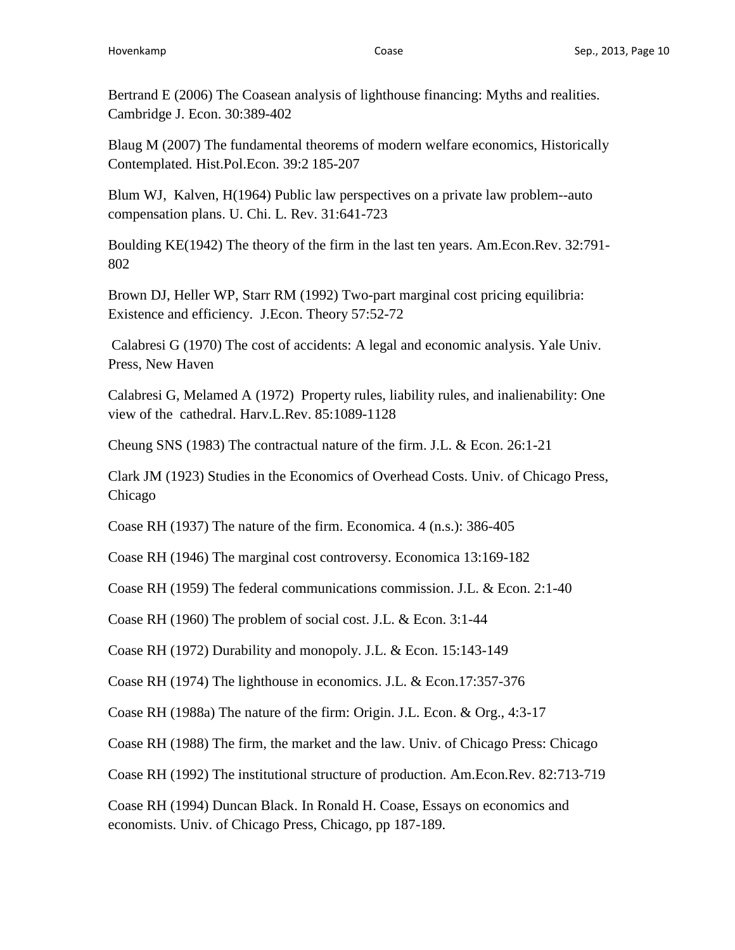Bertrand E (2006) The Coasean analysis of lighthouse financing: Myths and realities. Cambridge J. Econ. 30:389-402

Blaug M (2007) The fundamental theorems of modern welfare economics, Historically Contemplated. Hist.Pol.Econ. 39:2 185-207

Blum WJ, Kalven, H(1964) Public law perspectives on a private law problem--auto compensation plans. U. Chi. L. Rev. 31:641-723

Boulding KE(1942) The theory of the firm in the last ten years. Am.Econ.Rev. 32:791- 802

Brown DJ, Heller WP, Starr RM (1992) Two-part marginal cost pricing equilibria: Existence and efficiency. J.Econ. Theory 57:52-72

Calabresi G (1970) The cost of accidents: A legal and economic analysis. Yale Univ. Press, New Haven

Calabresi G, Melamed A (1972) Property rules, liability rules, and inalienability: One view of the cathedral. Harv.L.Rev. 85:1089-1128

Cheung SNS (1983) The contractual nature of the firm. J.L. & Econ. 26:1-21

Clark JM (1923) Studies in the Economics of Overhead Costs. Univ. of Chicago Press, Chicago

Coase RH (1937) The nature of the firm. Economica. 4 (n.s.): 386-405

Coase RH (1946) The marginal cost controversy. Economica 13:169-182

Coase RH (1959) The federal communications commission. J.L. & Econ. 2:1-40

Coase RH (1960) The problem of social cost. J.L. & Econ. 3:1-44

Coase RH (1972) Durability and monopoly. J.L. & Econ. 15:143-149

Coase RH (1974) The lighthouse in economics. J.L. & Econ.17:357-376

Coase RH (1988a) The nature of the firm: Origin. J.L. Econ. & Org., 4:3-17

Coase RH (1988) The firm, the market and the law. Univ. of Chicago Press: Chicago

Coase RH (1992) The institutional structure of production. Am.Econ.Rev. 82:713-719

Coase RH (1994) Duncan Black. In Ronald H. Coase, Essays on economics and economists. Univ. of Chicago Press, Chicago, pp 187-189.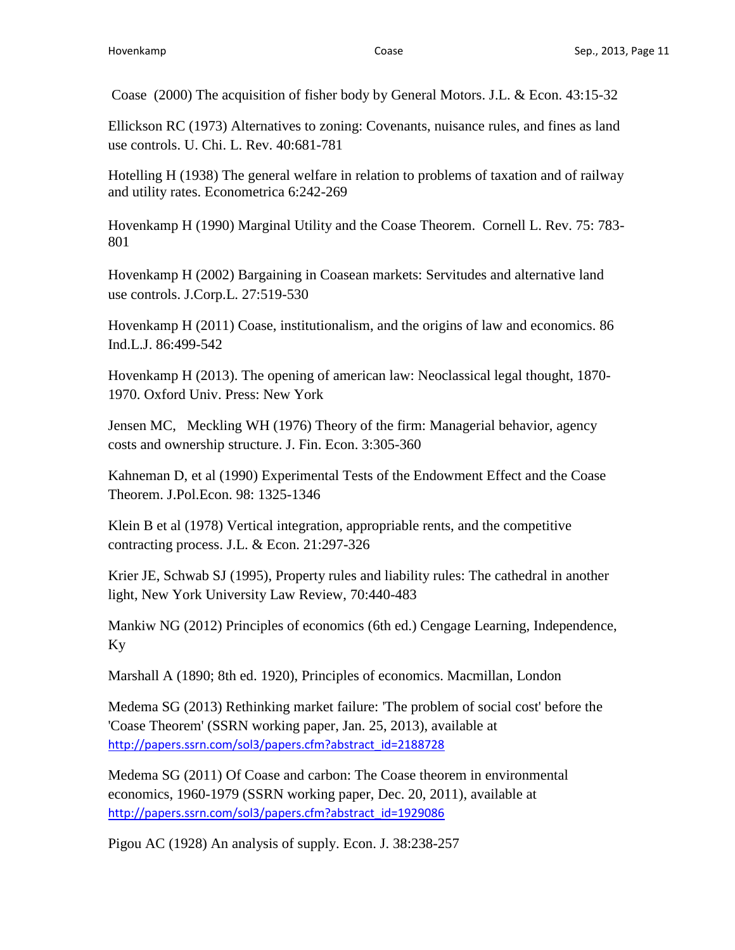Coase (2000) The acquisition of fisher body by General Motors. J.L. & Econ. 43:15-32

Ellickson RC (1973) Alternatives to zoning: Covenants, nuisance rules, and fines as land use controls. U. Chi. L. Rev. 40:681-781

Hotelling H (1938) The general welfare in relation to problems of taxation and of railway and utility rates. Econometrica 6:242-269

Hovenkamp H (1990) Marginal Utility and the Coase Theorem. Cornell L. Rev. 75: 783- 801

Hovenkamp H (2002) Bargaining in Coasean markets: Servitudes and alternative land use controls. J.Corp.L. 27:519-530

Hovenkamp H (2011) Coase, institutionalism, and the origins of law and economics. 86 Ind.L.J. 86:499-542

Hovenkamp H (2013). The opening of american law: Neoclassical legal thought, 1870- 1970. Oxford Univ. Press: New York

Jensen MC, Meckling WH (1976) Theory of the firm: Managerial behavior, agency costs and ownership structure. J. Fin. Econ. 3:305-360

Kahneman D, et al (1990) Experimental Tests of the Endowment Effect and the Coase Theorem. J.Pol.Econ. 98: 1325-1346

Klein B et al (1978) Vertical integration, appropriable rents, and the competitive contracting process. J.L. & Econ. 21:297-326

Krier JE, Schwab SJ (1995), Property rules and liability rules: The cathedral in another light, New York University Law Review, 70:440-483

Mankiw NG (2012) Principles of economics (6th ed.) Cengage Learning, Independence, Ky

Marshall A (1890; 8th ed. 1920), Principles of economics. Macmillan, London

Medema SG (2013) Rethinking market failure: 'The problem of social cost' before the 'Coase Theorem' (SSRN working paper, Jan. 25, 2013), available at [http://papers.ssrn.com/sol3/papers.cfm?abstract\\_id=2188728](http://papers.ssrn.com/sol3/papers.cfm?abstract_id=2188728)

Medema SG (2011) Of Coase and carbon: The Coase theorem in environmental economics, 1960-1979 (SSRN working paper, Dec. 20, 2011), available at [http://papers.ssrn.com/sol3/papers.cfm?abstract\\_id=1929086](http://papers.ssrn.com/sol3/papers.cfm?abstract_id=1929086)

Pigou AC (1928) An analysis of supply. Econ. J. 38:238-257